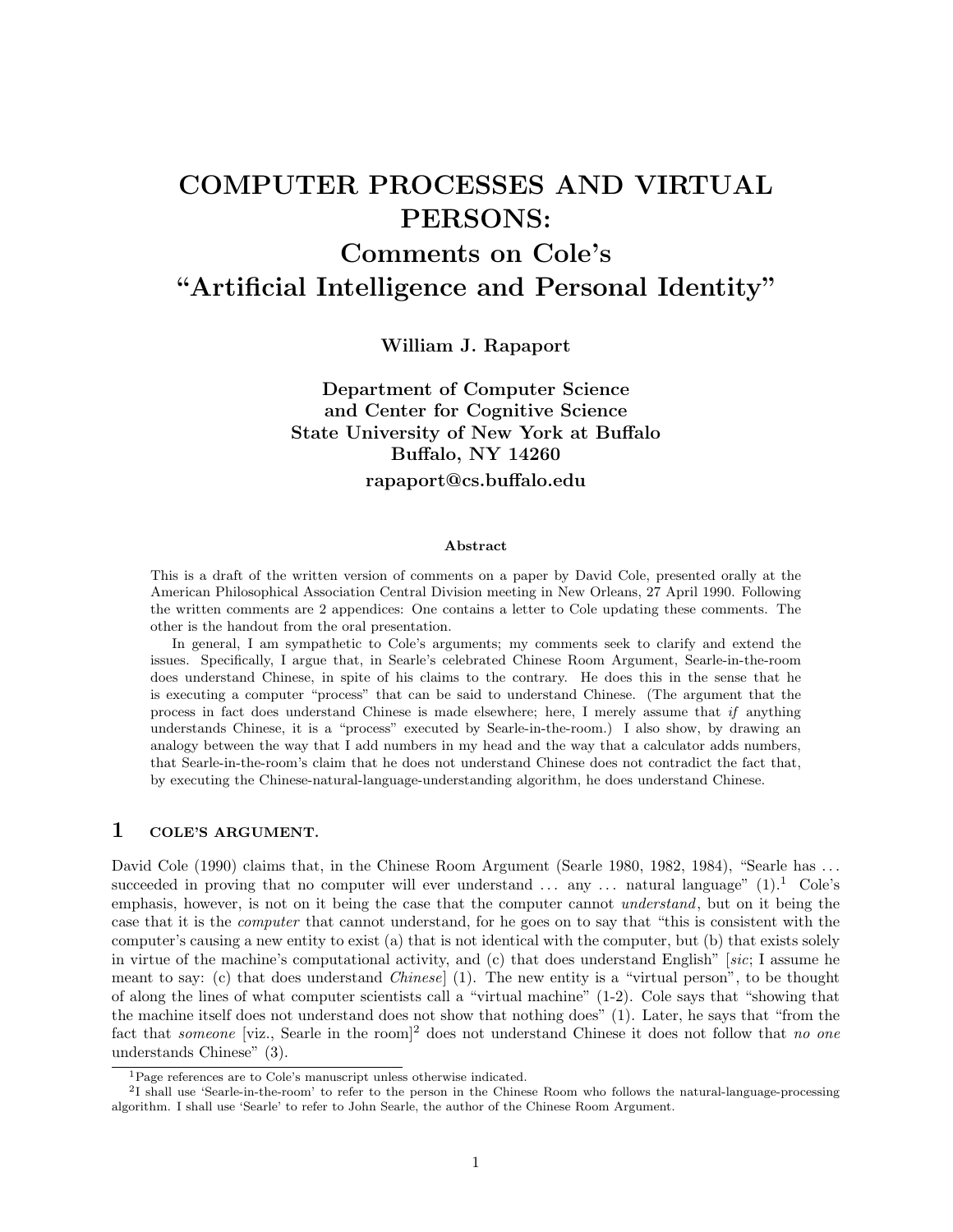# COMPUTER PROCESSES AND VIRTUAL PERSONS:

# Comments on Cole's "Artificial Intelligence and Personal Identity"

William J. Rapaport

# Department of Computer Science and Center for Cognitive Science State University of New York at Buffalo Buffalo, NY 14260 rapaport@cs.buffalo.edu

#### Abstract

This is a draft of the written version of comments on a paper by David Cole, presented orally at the American Philosophical Association Central Division meeting in New Orleans, 27 April 1990. Following the written comments are 2 appendices: One contains a letter to Cole updating these comments. The other is the handout from the oral presentation.

In general, I am sympathetic to Cole's arguments; my comments seek to clarify and extend the issues. Specifically, I argue that, in Searle's celebrated Chinese Room Argument, Searle-in-the-room does understand Chinese, in spite of his claims to the contrary. He does this in the sense that he is executing a computer "process" that can be said to understand Chinese. (The argument that the process in fact does understand Chinese is made elsewhere; here, I merely assume that *if* anything understands Chinese, it is a "process" executed by Searle-in-the-room.) I also show, by drawing an analogy between the way that I add numbers in my head and the way that a calculator adds numbers, that Searle-in-the-room's claim that he does not understand Chinese does not contradict the fact that, by executing the Chinese-natural-language-understanding algorithm, he does understand Chinese.

## 1 COLE'S ARGUMENT.

David Cole (1990) claims that, in the Chinese Room Argument (Searle 1980, 1982, 1984), "Searle has ... succeeded in proving that no computer will ever understand  $\ldots$  any  $\ldots$  natural language" (1).<sup>1</sup> Cole's emphasis, however, is not on it being the case that the computer cannot *understand*, but on it being the case that it is the *computer* that cannot understand, for he goes on to say that "this is consistent with the computer's causing a new entity to exist (a) that is not identical with the computer, but (b) that exists solely in virtue of the machine's computational activity, and (c) that does understand English" [*sic*; I assume he meant to say: (c) that does understand *Chinese*] (1). The new entity is a "virtual person", to be thought of along the lines of what computer scientists call a "virtual machine" (1-2). Cole says that "showing that the machine itself does not understand does not show that nothing does" (1). Later, he says that "from the fact that *someone* [viz., Searle in the room]<sup>2</sup> does not understand Chinese it does not follow that *no one* understands Chinese" (3).

<sup>1</sup>Page references are to Cole's manuscript unless otherwise indicated.

<sup>2</sup>I shall use 'Searle-in-the-room' to refer to the person in the Chinese Room who follows the natural-language-processing algorithm. I shall use 'Searle' to refer to John Searle, the author of the Chinese Room Argument.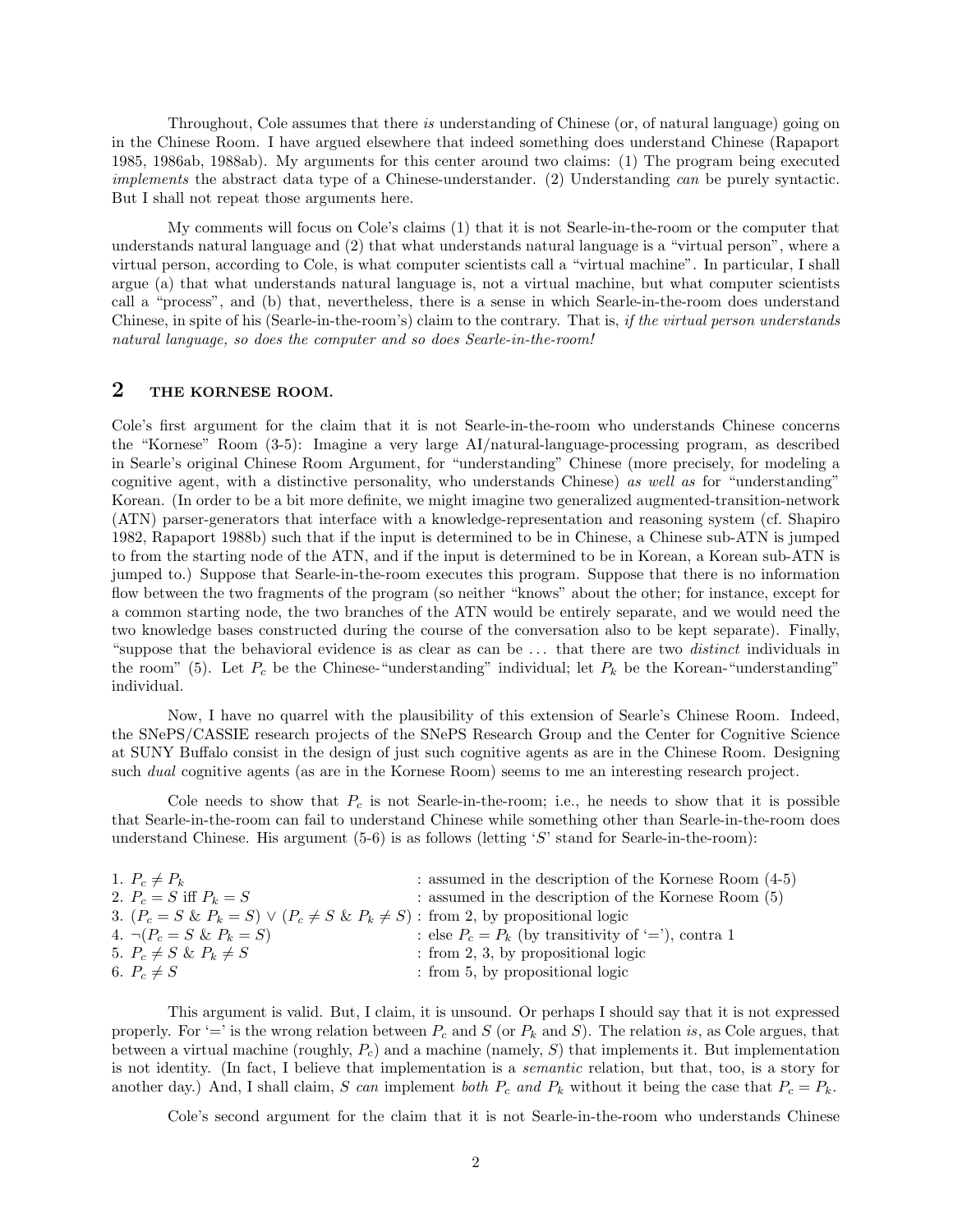Throughout, Cole assumes that there *is* understanding of Chinese (or, of natural language) going on in the Chinese Room. I have argued elsewhere that indeed something does understand Chinese (Rapaport 1985, 1986ab, 1988ab). My arguments for this center around two claims: (1) The program being executed *implements* the abstract data type of a Chinese-understander. (2) Understanding *can* be purely syntactic. But I shall not repeat those arguments here.

My comments will focus on Cole's claims (1) that it is not Searle-in-the-room or the computer that understands natural language and (2) that what understands natural language is a "virtual person", where a virtual person, according to Cole, is what computer scientists call a "virtual machine". In particular, I shall argue (a) that what understands natural language is, not a virtual machine, but what computer scientists call a "process", and (b) that, nevertheless, there is a sense in which Searle-in-the-room does understand Chinese, in spite of his (Searle-in-the-room's) claim to the contrary. That is, *if the virtual person understands natural language, so does the computer and so does Searle-in-the-room!*

## 2 THE KORNESE ROOM.

Cole's first argument for the claim that it is not Searle-in-the-room who understands Chinese concerns the "Kornese" Room (3-5): Imagine a very large AI/natural-language-processing program, as described in Searle's original Chinese Room Argument, for "understanding" Chinese (more precisely, for modeling a cognitive agent, with a distinctive personality, who understands Chinese) *as well as* for "understanding" Korean. (In order to be a bit more definite, we might imagine two generalized augmented-transition-network (ATN) parser-generators that interface with a knowledge-representation and reasoning system (cf. Shapiro 1982, Rapaport 1988b) such that if the input is determined to be in Chinese, a Chinese sub-ATN is jumped to from the starting node of the ATN, and if the input is determined to be in Korean, a Korean sub-ATN is jumped to.) Suppose that Searle-in-the-room executes this program. Suppose that there is no information flow between the two fragments of the program (so neither "knows" about the other; for instance, except for a common starting node, the two branches of the ATN would be entirely separate, and we would need the two knowledge bases constructed during the course of the conversation also to be kept separate). Finally, "suppose that the behavioral evidence is as clear as can be . . . that there are two *distinct* individuals in the room" (5). Let  $P_c$  be the Chinese-"understanding" individual; let  $P_k$  be the Korean-"understanding" individual.

Now, I have no quarrel with the plausibility of this extension of Searle's Chinese Room. Indeed, the SNePS/CASSIE research projects of the SNePS Research Group and the Center for Cognitive Science at SUNY Buffalo consist in the design of just such cognitive agents as are in the Chinese Room. Designing such *dual* cognitive agents (as are in the Kornese Room) seems to me an interesting research project.

Cole needs to show that  $P_c$  is not Searle-in-the-room; i.e., he needs to show that it is possible that Searle-in-the-room can fail to understand Chinese while something other than Searle-in-the-room does understand Chinese. His argument (5-6) is as follows (letting '*S*' stand for Searle-in-the-room):

| 1. $P_c \neq P_k$                                                                          | : assumed in the description of the Kornese Room $(4-5)$ |  |
|--------------------------------------------------------------------------------------------|----------------------------------------------------------|--|
| 2. $P_c = S$ iff $P_k = S$                                                                 | $:$ assumed in the description of the Kornese Room $(5)$ |  |
| 3. $(P_c = S \& P_k = S) \lor (P_c \neq S \& P_k \neq S)$ : from 2, by propositional logic |                                                          |  |
| 4. $\neg (P_c = S \& P_k = S)$                                                             | : else $P_c = P_k$ (by transitivity of '='), contra 1    |  |
| 5. $P_c \neq S \& P_k \neq S$                                                              | $:$ from 2, 3, by propositional logic                    |  |
| 6. $P_c \neq S$                                                                            | : from 5, by propositional logic                         |  |

This argument is valid. But, I claim, it is unsound. Or perhaps I should say that it is not expressed properly. For '=' is the wrong relation between  $P_c$  and  $S$  (or  $P_k$  and  $S$ ). The relation *is*, as Cole argues, that between a virtual machine (roughly, *Pc*) and a machine (namely, *S*) that implements it. But implementation is not identity. (In fact, I believe that implementation is a *semantic* relation, but that, too, is a story for another day.) And, I shall claim, *S* can implement *both*  $P_c$  and  $P_k$  without it being the case that  $P_c = P_k$ .

Cole's second argument for the claim that it is not Searle-in-the-room who understands Chinese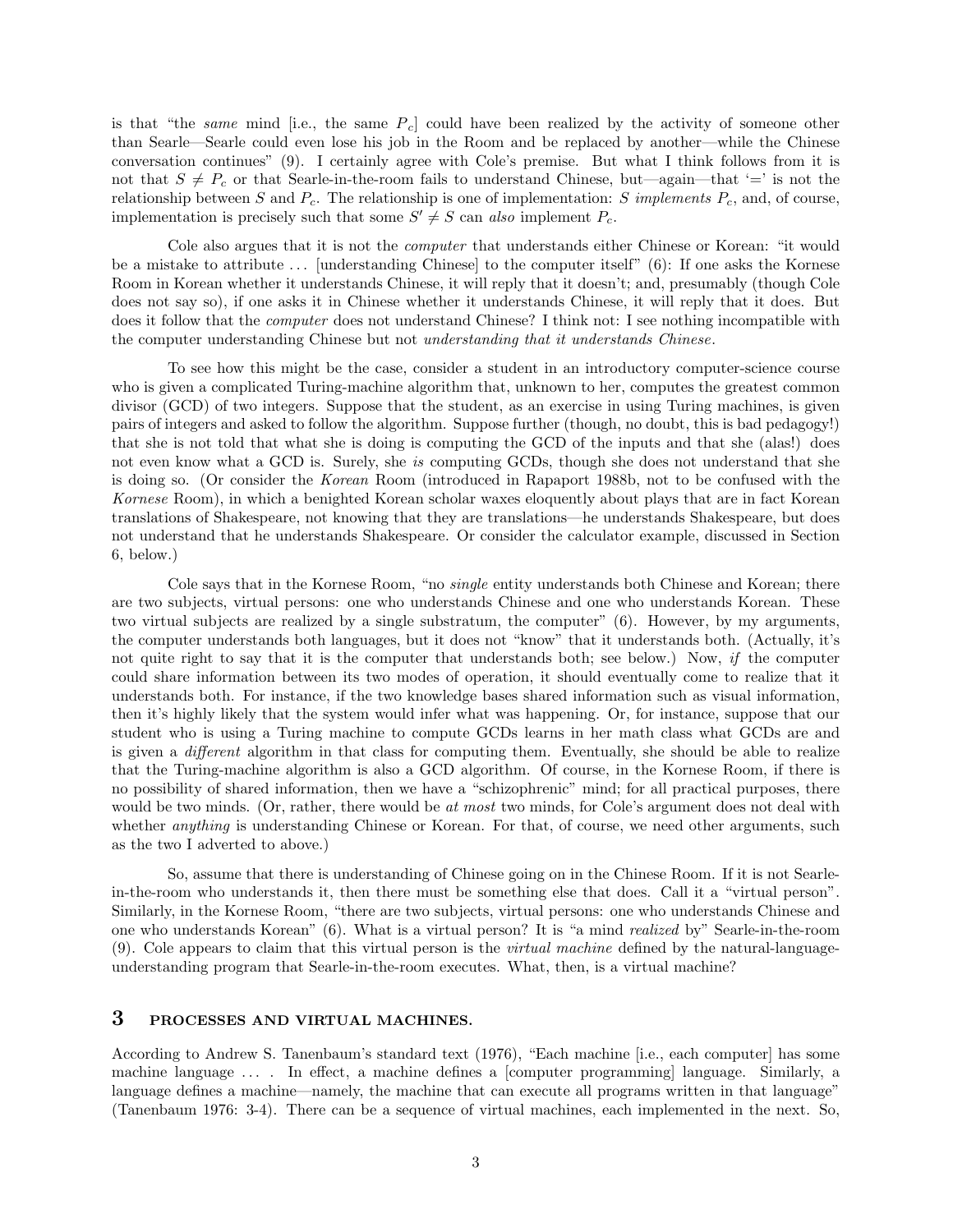is that "the *same* mind [i.e., the same *Pc*] could have been realized by the activity of someone other than Searle—Searle could even lose his job in the Room and be replaced by another—while the Chinese conversation continues" (9). I certainly agree with Cole's premise. But what I think follows from it is not that  $S \neq P_c$  or that Searle-in-the-room fails to understand Chinese, but—again—that '=' is not the relationship between *S* and  $P_c$ . The relationship is one of implementation: *S implements*  $P_c$ , and, of course, implementation is precisely such that some  $S' \neq S$  can *also* implement  $P_c$ .

Cole also argues that it is not the *computer* that understands either Chinese or Korean: "it would be a mistake to attribute  $\dots$  [understanding Chinese] to the computer itself" (6): If one asks the Kornese Room in Korean whether it understands Chinese, it will reply that it doesn't; and, presumably (though Cole does not say so), if one asks it in Chinese whether it understands Chinese, it will reply that it does. But does it follow that the *computer* does not understand Chinese? I think not: I see nothing incompatible with the computer understanding Chinese but not *understanding that it understands Chinese*.

To see how this might be the case, consider a student in an introductory computer-science course who is given a complicated Turing-machine algorithm that, unknown to her, computes the greatest common divisor (GCD) of two integers. Suppose that the student, as an exercise in using Turing machines, is given pairs of integers and asked to follow the algorithm. Suppose further (though, no doubt, this is bad pedagogy!) that she is not told that what she is doing is computing the GCD of the inputs and that she (alas!) does not even know what a GCD is. Surely, she *is* computing GCDs, though she does not understand that she is doing so. (Or consider the *Korean* Room (introduced in Rapaport 1988b, not to be confused with the *Kornese* Room), in which a benighted Korean scholar waxes eloquently about plays that are in fact Korean translations of Shakespeare, not knowing that they are translations—he understands Shakespeare, but does not understand that he understands Shakespeare. Or consider the calculator example, discussed in Section 6, below.)

Cole says that in the Kornese Room, "no *single* entity understands both Chinese and Korean; there are two subjects, virtual persons: one who understands Chinese and one who understands Korean. These two virtual subjects are realized by a single substratum, the computer" (6). However, by my arguments, the computer understands both languages, but it does not "know" that it understands both. (Actually, it's not quite right to say that it is the computer that understands both; see below.) Now, *if* the computer could share information between its two modes of operation, it should eventually come to realize that it understands both. For instance, if the two knowledge bases shared information such as visual information, then it's highly likely that the system would infer what was happening. Or, for instance, suppose that our student who is using a Turing machine to compute GCDs learns in her math class what GCDs are and is given a *different* algorithm in that class for computing them. Eventually, she should be able to realize that the Turing-machine algorithm is also a GCD algorithm. Of course, in the Kornese Room, if there is no possibility of shared information, then we have a "schizophrenic" mind; for all practical purposes, there would be two minds. (Or, rather, there would be *at most* two minds, for Cole's argument does not deal with whether *anything* is understanding Chinese or Korean. For that, of course, we need other arguments, such as the two I adverted to above.)

So, assume that there is understanding of Chinese going on in the Chinese Room. If it is not Searlein-the-room who understands it, then there must be something else that does. Call it a "virtual person". Similarly, in the Kornese Room, "there are two subjects, virtual persons: one who understands Chinese and one who understands Korean" (6). What is a virtual person? It is "a mind *realized* by" Searle-in-the-room (9). Cole appears to claim that this virtual person is the *virtual machine* defined by the natural-languageunderstanding program that Searle-in-the-room executes. What, then, is a virtual machine?

### 3 PROCESSES AND VIRTUAL MACHINES.

According to Andrew S. Tanenbaum's standard text (1976), "Each machine [i.e., each computer] has some machine language ... . In effect, a machine defines a [computer programming] language. Similarly, a language defines a machine—namely, the machine that can execute all programs written in that language" (Tanenbaum 1976: 3-4). There can be a sequence of virtual machines, each implemented in the next. So,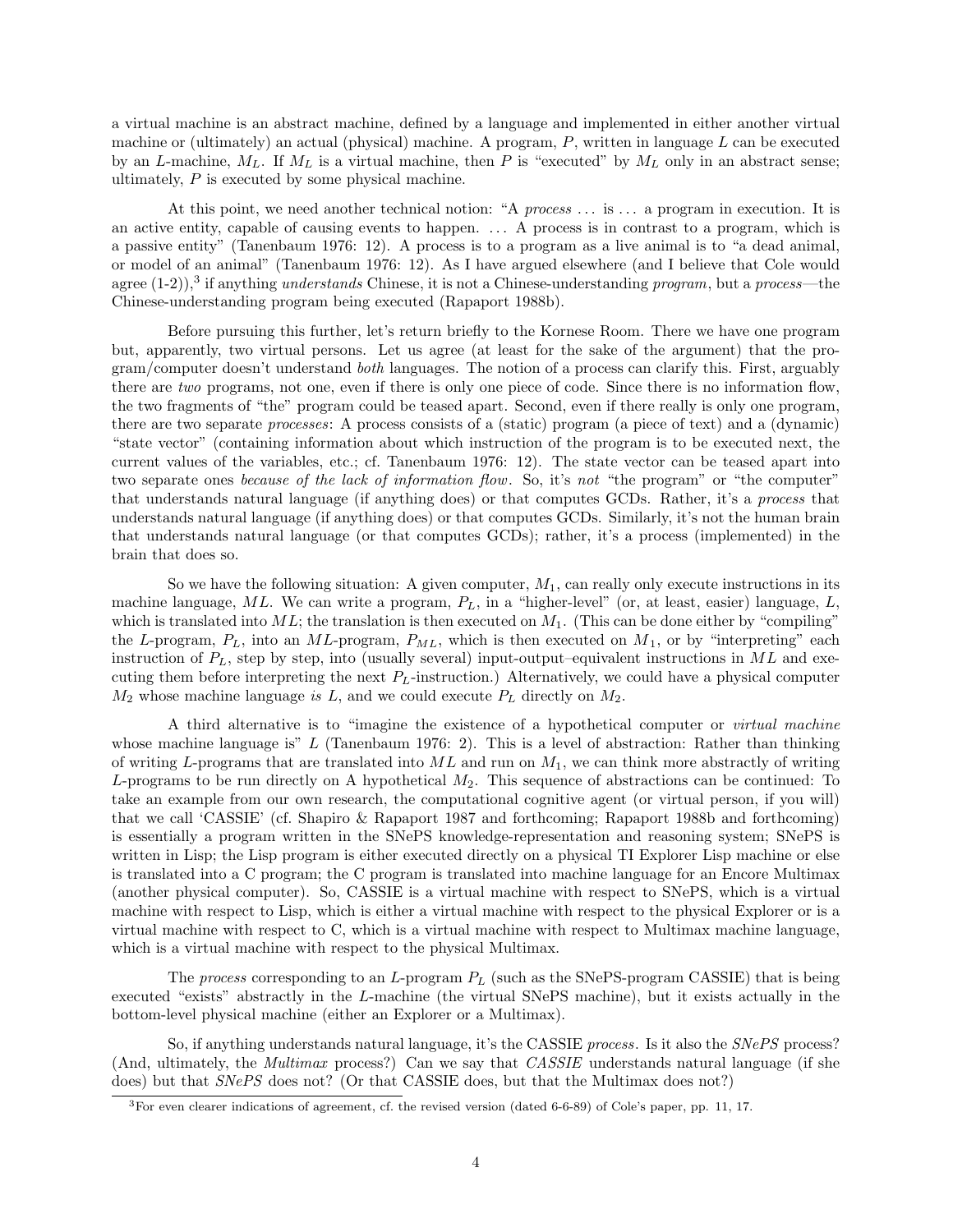a virtual machine is an abstract machine, defined by a language and implemented in either another virtual machine or (ultimately) an actual (physical) machine. A program, *P*, written in language *L* can be executed by an *L*-machine,  $M_L$ . If  $M_L$  is a virtual machine, then *P* is "executed" by  $M_L$  only in an abstract sense; ultimately, *P* is executed by some physical machine.

At this point, we need another technical notion: "A *process* . . . is . . . a program in execution. It is an active entity, capable of causing events to happen. . . . A process is in contrast to a program, which is a passive entity" (Tanenbaum 1976: 12). A process is to a program as a live animal is to "a dead animal, or model of an animal" (Tanenbaum 1976: 12). As I have argued elsewhere (and I believe that Cole would agree (1-2)),<sup>3</sup> if anything *understands* Chinese, it is not a Chinese-understanding *program*, but a *process*—the Chinese-understanding program being executed (Rapaport 1988b).

Before pursuing this further, let's return briefly to the Kornese Room. There we have one program but, apparently, two virtual persons. Let us agree (at least for the sake of the argument) that the program/computer doesn't understand *both* languages. The notion of a process can clarify this. First, arguably there are *two* programs, not one, even if there is only one piece of code. Since there is no information flow, the two fragments of "the" program could be teased apart. Second, even if there really is only one program, there are two separate *processes*: A process consists of a (static) program (a piece of text) and a (dynamic) "state vector" (containing information about which instruction of the program is to be executed next, the current values of the variables, etc.; cf. Tanenbaum 1976: 12). The state vector can be teased apart into two separate ones *because of the lack of information flow*. So, it's *not* "the program" or "the computer" that understands natural language (if anything does) or that computes GCDs. Rather, it's a *process* that understands natural language (if anything does) or that computes GCDs. Similarly, it's not the human brain that understands natural language (or that computes GCDs); rather, it's a process (implemented) in the brain that does so.

So we have the following situation: A given computer, *M*1, can really only execute instructions in its machine language, *ML*. We can write a program, *PL*, in a "higher-level" (or, at least, easier) language, *L*, which is translated into  $ML$ ; the translation is then executed on  $M_1$ . (This can be done either by "compiling" the *L*-program, *PL*, into an *ML*-program, *PML*, which is then executed on *M*1, or by "interpreting" each instruction of *PL*, step by step, into (usually several) input-output–equivalent instructions in *ML* and executing them before interpreting the next *PL*-instruction.) Alternatively, we could have a physical computer *M*<sup>2</sup> whose machine language *is L*, and we could execute *P<sup>L</sup>* directly on *M*2.

A third alternative is to "imagine the existence of a hypothetical computer or *virtual machine* whose machine language is" *L* (Tanenbaum 1976: 2). This is a level of abstraction: Rather than thinking of writing *L*-programs that are translated into *ML* and run on *M*1, we can think more abstractly of writing *L*-programs to be run directly on A hypothetical *M*2. This sequence of abstractions can be continued: To take an example from our own research, the computational cognitive agent (or virtual person, if you will) that we call 'CASSIE' (cf. Shapiro & Rapaport 1987 and forthcoming; Rapaport 1988b and forthcoming) is essentially a program written in the SNePS knowledge-representation and reasoning system; SNePS is written in Lisp; the Lisp program is either executed directly on a physical TI Explorer Lisp machine or else is translated into a C program; the C program is translated into machine language for an Encore Multimax (another physical computer). So, CASSIE is a virtual machine with respect to SNePS, which is a virtual machine with respect to Lisp, which is either a virtual machine with respect to the physical Explorer or is a virtual machine with respect to C, which is a virtual machine with respect to Multimax machine language, which is a virtual machine with respect to the physical Multimax.

The *process* corresponding to an *L*-program *P<sup>L</sup>* (such as the SNePS-program CASSIE) that is being executed "exists" abstractly in the *L*-machine (the virtual SNePS machine), but it exists actually in the bottom-level physical machine (either an Explorer or a Multimax).

So, if anything understands natural language, it's the CASSIE *process*. Is it also the *SNePS* process? (And, ultimately, the *Multimax* process?) Can we say that *CASSIE* understands natural language (if she does) but that *SNePS* does not? (Or that CASSIE does, but that the Multimax does not?)

<sup>3</sup>For even clearer indications of agreement, cf. the revised version (dated 6-6-89) of Cole's paper, pp. 11, 17.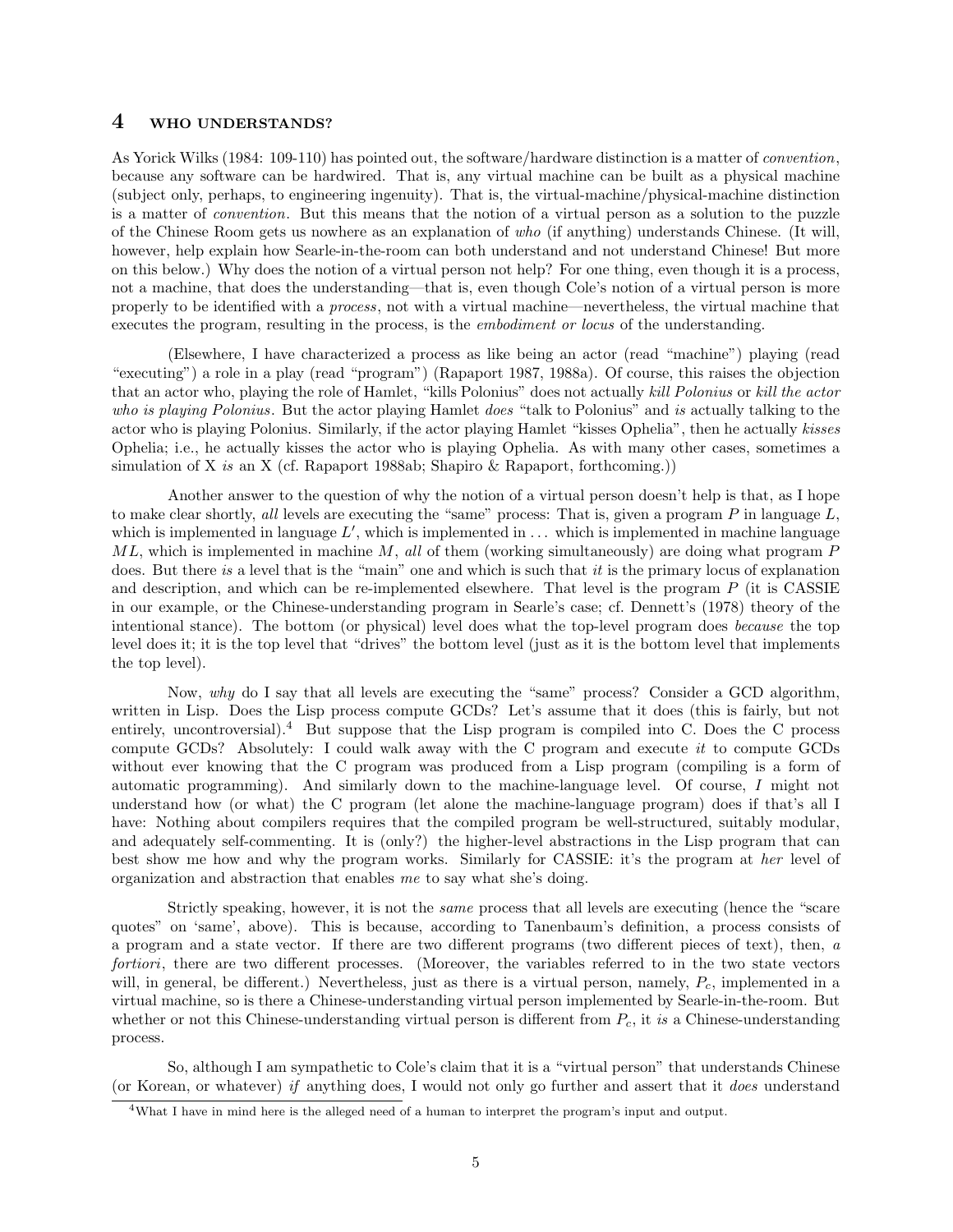### 4 WHO UNDERSTANDS?

As Yorick Wilks (1984: 109-110) has pointed out, the software/hardware distinction is a matter of *convention*, because any software can be hardwired. That is, any virtual machine can be built as a physical machine (subject only, perhaps, to engineering ingenuity). That is, the virtual-machine/physical-machine distinction is a matter of *convention*. But this means that the notion of a virtual person as a solution to the puzzle of the Chinese Room gets us nowhere as an explanation of *who* (if anything) understands Chinese. (It will, however, help explain how Searle-in-the-room can both understand and not understand Chinese! But more on this below.) Why does the notion of a virtual person not help? For one thing, even though it is a process, not a machine, that does the understanding—that is, even though Cole's notion of a virtual person is more properly to be identified with a *process*, not with a virtual machine—nevertheless, the virtual machine that executes the program, resulting in the process, is the *embodiment or locus* of the understanding.

(Elsewhere, I have characterized a process as like being an actor (read "machine") playing (read "executing") a role in a play (read "program") (Rapaport 1987, 1988a). Of course, this raises the objection that an actor who, playing the role of Hamlet, "kills Polonius" does not actually *kill Polonius* or *kill the actor who is playing Polonius*. But the actor playing Hamlet *does* "talk to Polonius" and *is* actually talking to the actor who is playing Polonius. Similarly, if the actor playing Hamlet "kisses Ophelia", then he actually *kisses* Ophelia; i.e., he actually kisses the actor who is playing Ophelia. As with many other cases, sometimes a simulation of X *is* an X (cf. Rapaport 1988ab; Shapiro & Rapaport, forthcoming.))

Another answer to the question of why the notion of a virtual person doesn't help is that, as I hope to make clear shortly, *all* levels are executing the "same" process: That is, given a program *P* in language *L*, which is implemented in language  $L'$ , which is implemented in  $\dots$  which is implemented in machine language *ML*, which is implemented in machine *M*, *all* of them (working simultaneously) are doing what program *P* does. But there *is* a level that is the "main" one and which is such that *it* is the primary locus of explanation and description, and which can be re-implemented elsewhere. That level is the program *P* (it is CASSIE in our example, or the Chinese-understanding program in Searle's case; cf. Dennett's (1978) theory of the intentional stance). The bottom (or physical) level does what the top-level program does *because* the top level does it; it is the top level that "drives" the bottom level (just as it is the bottom level that implements the top level).

Now, *why* do I say that all levels are executing the "same" process? Consider a GCD algorithm, written in Lisp. Does the Lisp process compute GCDs? Let's assume that it does (this is fairly, but not entirely, uncontroversial).<sup>4</sup> But suppose that the Lisp program is compiled into C. Does the C process compute GCDs? Absolutely: I could walk away with the C program and execute *it* to compute GCDs without ever knowing that the C program was produced from a Lisp program (compiling is a form of automatic programming). And similarly down to the machine-language level. Of course, *I* might not understand how (or what) the C program (let alone the machine-language program) does if that's all I have: Nothing about compilers requires that the compiled program be well-structured, suitably modular, and adequately self-commenting. It is (only?) the higher-level abstractions in the Lisp program that can best show me how and why the program works. Similarly for CASSIE: it's the program at *her* level of organization and abstraction that enables *me* to say what she's doing.

Strictly speaking, however, it is not the *same* process that all levels are executing (hence the "scare quotes" on 'same', above). This is because, according to Tanenbaum's definition, a process consists of a program and a state vector. If there are two different programs (two different pieces of text), then, *a fortiori*, there are two different processes. (Moreover, the variables referred to in the two state vectors will, in general, be different.) Nevertheless, just as there is a virtual person, namely,  $P_c$ , implemented in a virtual machine, so is there a Chinese-understanding virtual person implemented by Searle-in-the-room. But whether or not this Chinese-understanding virtual person is different from  $P_c$ , it *is* a Chinese-understanding process.

So, although I am sympathetic to Cole's claim that it is a "virtual person" that understands Chinese (or Korean, or whatever) *if* anything does, I would not only go further and assert that it *does* understand

<sup>4</sup>What I have in mind here is the alleged need of a human to interpret the program's input and output.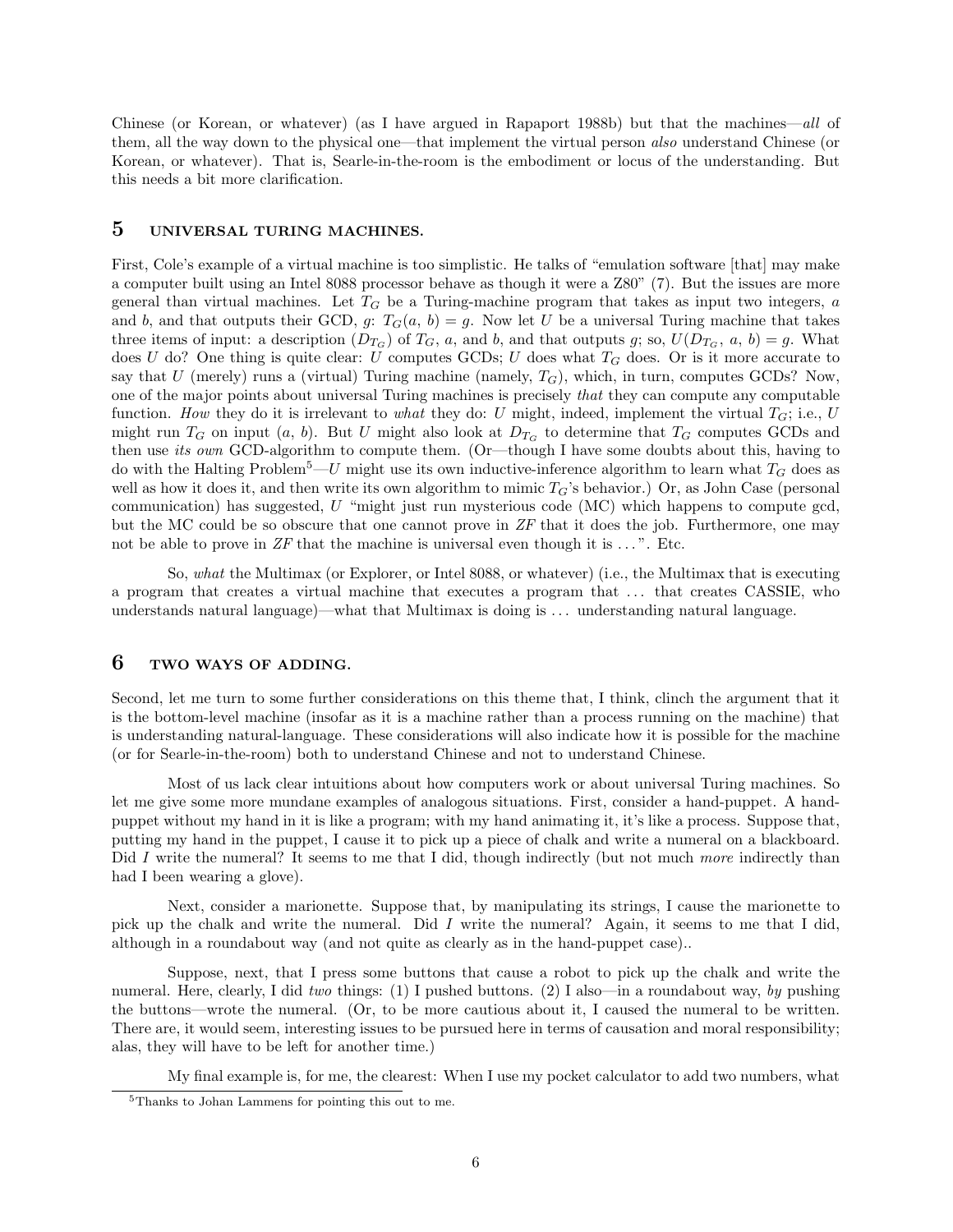Chinese (or Korean, or whatever) (as I have argued in Rapaport 1988b) but that the machines—*all* of them, all the way down to the physical one—that implement the virtual person *also* understand Chinese (or Korean, or whatever). That is, Searle-in-the-room is the embodiment or locus of the understanding. But this needs a bit more clarification.

## 5 UNIVERSAL TURING MACHINES.

First, Cole's example of a virtual machine is too simplistic. He talks of "emulation software [that] may make a computer built using an Intel 8088 processor behave as though it were a Z80" (7). But the issues are more general than virtual machines. Let *T<sup>G</sup>* be a Turing-machine program that takes as input two integers, *a* and *b*, and that outputs their GCD, *g*:  $T_G(a, b) = g$ . Now let *U* be a universal Turing machine that takes three items of input: a description  $(D_{T_G})$  of  $T_G$ , *a*, and *b*, and that outputs *g*; so,  $U(D_{T_G}, a, b) = g$ . What does *U* do? One thing is quite clear: *U* computes GCDs; *U* does what *T<sup>G</sup>* does. Or is it more accurate to say that  $U$  (merely) runs a (virtual) Turing machine (namely,  $T_G$ ), which, in turn, computes GCDs? Now, one of the major points about universal Turing machines is precisely *that* they can compute any computable function. *How* they do it is irrelevant to *what* they do: *U* might, indeed, implement the virtual  $T_G$ ; i.e., *U* might run  $T_G$  on input  $(a, b)$ . But *U* might also look at  $D_{T_G}$  to determine that  $T_G$  computes GCDs and then use *its own* GCD-algorithm to compute them. (Or—though I have some doubts about this, having to do with the Halting Problem<sup>5</sup>—*U* might use its own inductive-inference algorithm to learn what *T<sup>G</sup>* does as well as how it does it, and then write its own algorithm to mimic  $T_G$ 's behavior.) Or, as John Case (personal communication) has suggested, *U* "might just run mysterious code (MC) which happens to compute gcd, but the MC could be so obscure that one cannot prove in *ZF* that it does the job. Furthermore, one may not be able to prove in  $ZF$  that the machine is universal even though it is  $\dots$ ". Etc.

So, *what* the Multimax (or Explorer, or Intel 8088, or whatever) (i.e., the Multimax that is executing a program that creates a virtual machine that executes a program that . . . that creates CASSIE, who understands natural language)—what that Multimax is doing is . . . understanding natural language.

## 6 TWO WAYS OF ADDING.

Second, let me turn to some further considerations on this theme that, I think, clinch the argument that it is the bottom-level machine (insofar as it is a machine rather than a process running on the machine) that is understanding natural-language. These considerations will also indicate how it is possible for the machine (or for Searle-in-the-room) both to understand Chinese and not to understand Chinese.

Most of us lack clear intuitions about how computers work or about universal Turing machines. So let me give some more mundane examples of analogous situations. First, consider a hand-puppet. A handpuppet without my hand in it is like a program; with my hand animating it, it's like a process. Suppose that, putting my hand in the puppet, I cause it to pick up a piece of chalk and write a numeral on a blackboard. Did *I* write the numeral? It seems to me that I did, though indirectly (but not much *more* indirectly than had I been wearing a glove).

Next, consider a marionette. Suppose that, by manipulating its strings, I cause the marionette to pick up the chalk and write the numeral. Did *I* write the numeral? Again, it seems to me that I did, although in a roundabout way (and not quite as clearly as in the hand-puppet case)..

Suppose, next, that I press some buttons that cause a robot to pick up the chalk and write the numeral. Here, clearly, I did *two* things: (1) I pushed buttons. (2) I also—in a roundabout way, *by* pushing the buttons—wrote the numeral. (Or, to be more cautious about it, I caused the numeral to be written. There are, it would seem, interesting issues to be pursued here in terms of causation and moral responsibility; alas, they will have to be left for another time.)

My final example is, for me, the clearest: When I use my pocket calculator to add two numbers, what

<sup>5</sup>Thanks to Johan Lammens for pointing this out to me.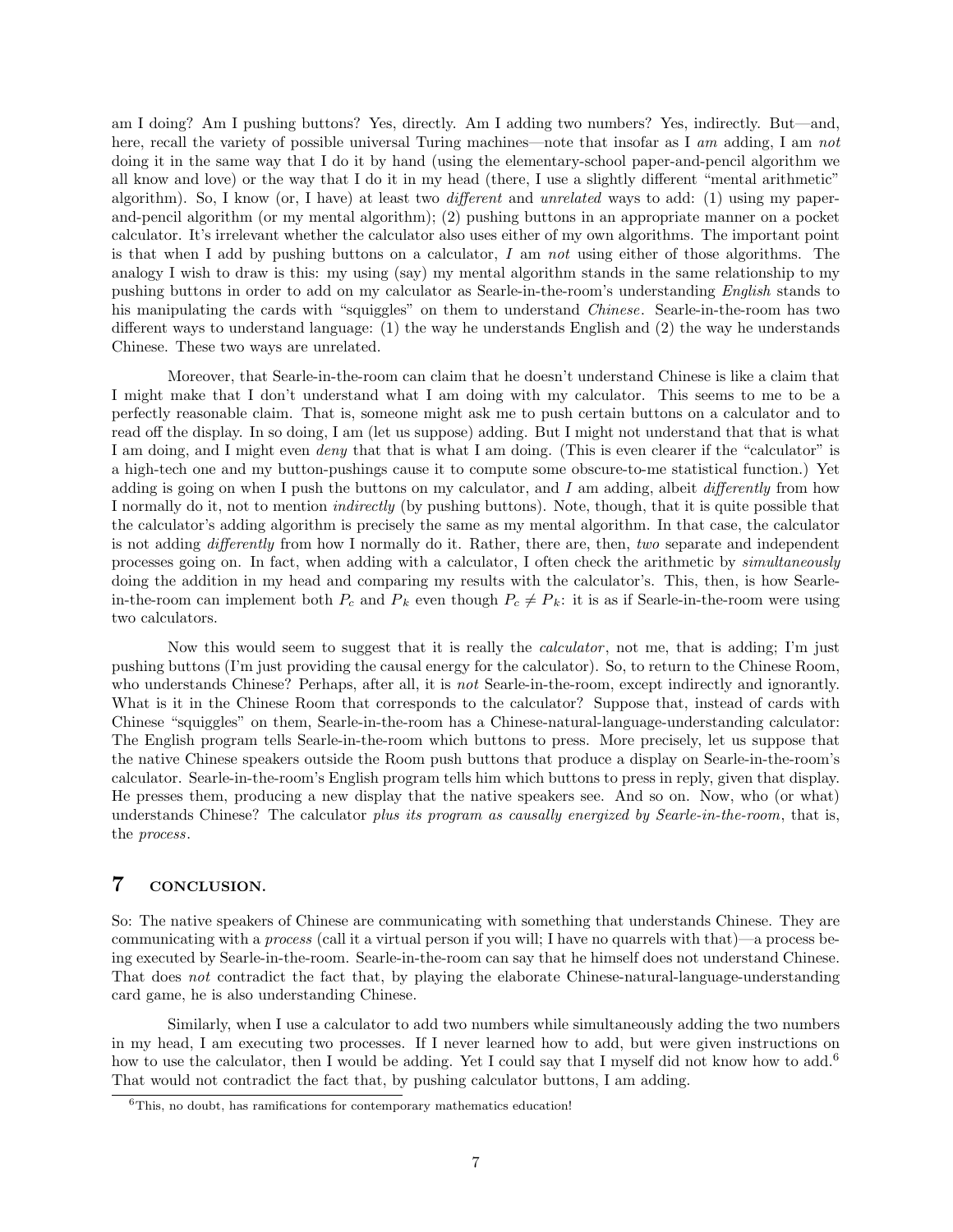am I doing? Am I pushing buttons? Yes, directly. Am I adding two numbers? Yes, indirectly. But—and, here, recall the variety of possible universal Turing machines—note that insofar as I *am* adding, I am *not* doing it in the same way that I do it by hand (using the elementary-school paper-and-pencil algorithm we all know and love) or the way that I do it in my head (there, I use a slightly different "mental arithmetic" algorithm). So, I know (or, I have) at least two *different* and *unrelated* ways to add: (1) using my paperand-pencil algorithm (or my mental algorithm); (2) pushing buttons in an appropriate manner on a pocket calculator. It's irrelevant whether the calculator also uses either of my own algorithms. The important point is that when I add by pushing buttons on a calculator, *I* am *not* using either of those algorithms. The analogy I wish to draw is this: my using (say) my mental algorithm stands in the same relationship to my pushing buttons in order to add on my calculator as Searle-in-the-room's understanding *English* stands to his manipulating the cards with "squiggles" on them to understand *Chinese*. Searle-in-the-room has two different ways to understand language: (1) the way he understands English and (2) the way he understands Chinese. These two ways are unrelated.

Moreover, that Searle-in-the-room can claim that he doesn't understand Chinese is like a claim that I might make that I don't understand what I am doing with my calculator. This seems to me to be a perfectly reasonable claim. That is, someone might ask me to push certain buttons on a calculator and to read off the display. In so doing, I am (let us suppose) adding. But I might not understand that that is what I am doing, and I might even *deny* that that is what I am doing. (This is even clearer if the "calculator" is a high-tech one and my button-pushings cause it to compute some obscure-to-me statistical function.) Yet adding is going on when I push the buttons on my calculator, and I am adding, albeit  $differently$  from how I normally do it, not to mention *indirectly* (by pushing buttons). Note, though, that it is quite possible that the calculator's adding algorithm is precisely the same as my mental algorithm. In that case, the calculator is not adding *differently* from how I normally do it. Rather, there are, then, *two* separate and independent processes going on. In fact, when adding with a calculator, I often check the arithmetic by *simultaneously* doing the addition in my head and comparing my results with the calculator's. This, then, is how Searlein-the-room can implement both  $P_c$  and  $P_k$  even though  $P_c \neq P_k$ : it is as if Searle-in-the-room were using two calculators.

Now this would seem to suggest that it is really the *calculator* , not me, that is adding; I'm just pushing buttons (I'm just providing the causal energy for the calculator). So, to return to the Chinese Room, who understands Chinese? Perhaps, after all, it is *not* Searle-in-the-room, except indirectly and ignorantly. What is it in the Chinese Room that corresponds to the calculator? Suppose that, instead of cards with Chinese "squiggles" on them, Searle-in-the-room has a Chinese-natural-language-understanding calculator: The English program tells Searle-in-the-room which buttons to press. More precisely, let us suppose that the native Chinese speakers outside the Room push buttons that produce a display on Searle-in-the-room's calculator. Searle-in-the-room's English program tells him which buttons to press in reply, given that display. He presses them, producing a new display that the native speakers see. And so on. Now, who (or what) understands Chinese? The calculator *plus its program as causally energized by Searle-in-the-room*, that is, the *process*.

## 7 CONCLUSION.

So: The native speakers of Chinese are communicating with something that understands Chinese. They are communicating with a *process* (call it a virtual person if you will; I have no quarrels with that)—a process being executed by Searle-in-the-room. Searle-in-the-room can say that he himself does not understand Chinese. That does *not* contradict the fact that, by playing the elaborate Chinese-natural-language-understanding card game, he is also understanding Chinese.

Similarly, when I use a calculator to add two numbers while simultaneously adding the two numbers in my head, I am executing two processes. If I never learned how to add, but were given instructions on how to use the calculator, then I would be adding. Yet I could say that I myself did not know how to add.<sup>6</sup> That would not contradict the fact that, by pushing calculator buttons, I am adding.

 $6$ This, no doubt, has ramifications for contemporary mathematics education!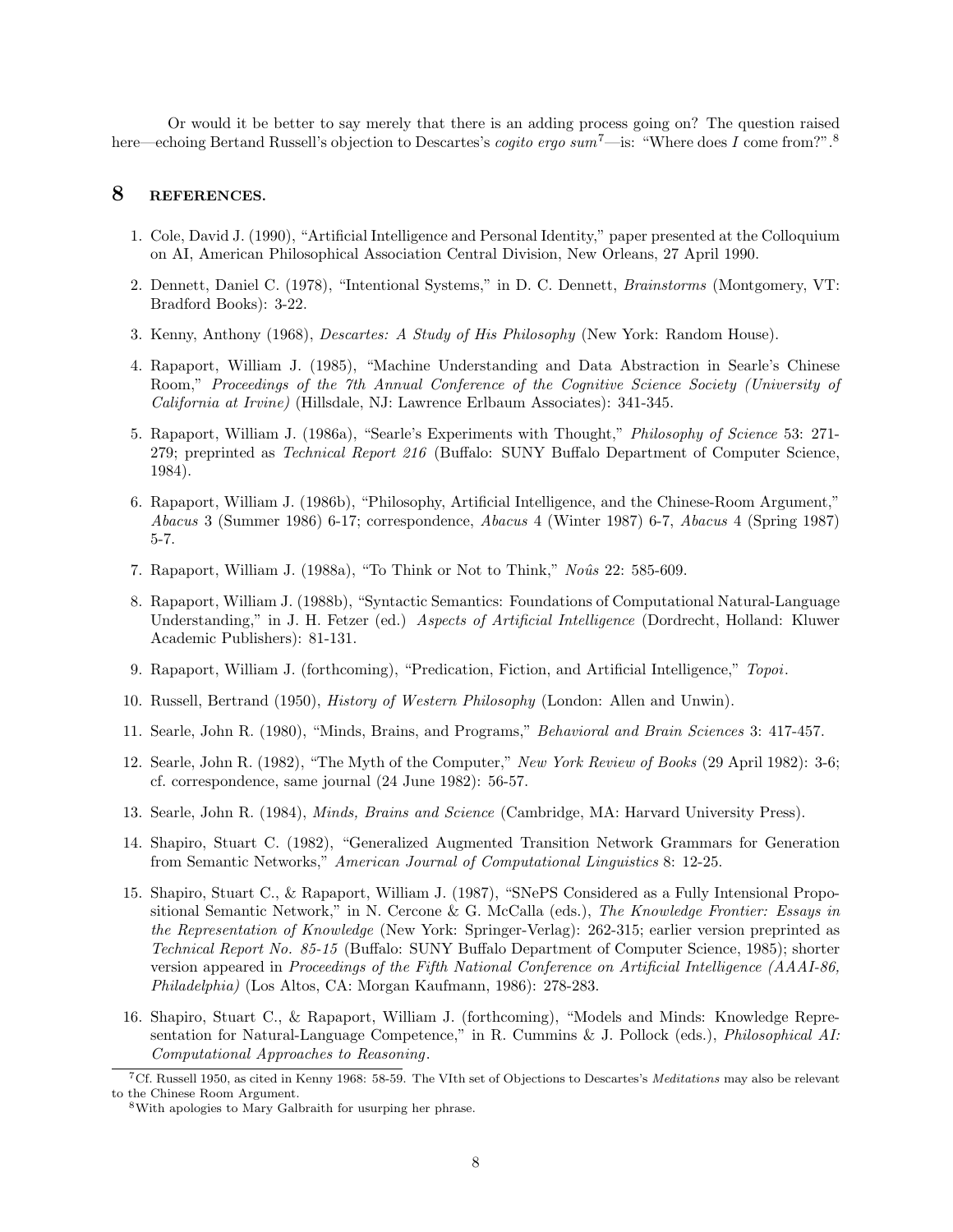Or would it be better to say merely that there is an adding process going on? The question raised here—echoing Bertand Russell's objection to Descartes's *cogito ergo sum*<sup>7</sup>—is: "Where does *I* come from?".<sup>8</sup>

### 8 REFERENCES.

- 1. Cole, David J. (1990), "Artificial Intelligence and Personal Identity," paper presented at the Colloquium on AI, American Philosophical Association Central Division, New Orleans, 27 April 1990.
- 2. Dennett, Daniel C. (1978), "Intentional Systems," in D. C. Dennett, *Brainstorms* (Montgomery, VT: Bradford Books): 3-22.
- 3. Kenny, Anthony (1968), *Descartes: A Study of His Philosophy* (New York: Random House).
- 4. Rapaport, William J. (1985), "Machine Understanding and Data Abstraction in Searle's Chinese Room," *Proceedings of the 7th Annual Conference of the Cognitive Science Society (University of California at Irvine)* (Hillsdale, NJ: Lawrence Erlbaum Associates): 341-345.
- 5. Rapaport, William J. (1986a), "Searle's Experiments with Thought," *Philosophy of Science* 53: 271- 279; preprinted as *Technical Report 216* (Buffalo: SUNY Buffalo Department of Computer Science, 1984).
- 6. Rapaport, William J. (1986b), "Philosophy, Artificial Intelligence, and the Chinese-Room Argument," *Abacus* 3 (Summer 1986) 6-17; correspondence, *Abacus* 4 (Winter 1987) 6-7, *Abacus* 4 (Spring 1987) 5-7.
- 7. Rapaport, William J. (1988a), "To Think or Not to Think," *Noˆus* 22: 585-609.
- 8. Rapaport, William J. (1988b), "Syntactic Semantics: Foundations of Computational Natural-Language Understanding," in J. H. Fetzer (ed.) *Aspects of Artificial Intelligence* (Dordrecht, Holland: Kluwer Academic Publishers): 81-131.
- 9. Rapaport, William J. (forthcoming), "Predication, Fiction, and Artificial Intelligence," *Topoi*.
- 10. Russell, Bertrand (1950), *History of Western Philosophy* (London: Allen and Unwin).
- 11. Searle, John R. (1980), "Minds, Brains, and Programs," *Behavioral and Brain Sciences* 3: 417-457.
- 12. Searle, John R. (1982), "The Myth of the Computer," *New York Review of Books* (29 April 1982): 3-6; cf. correspondence, same journal (24 June 1982): 56-57.
- 13. Searle, John R. (1984), *Minds, Brains and Science* (Cambridge, MA: Harvard University Press).
- 14. Shapiro, Stuart C. (1982), "Generalized Augmented Transition Network Grammars for Generation from Semantic Networks," *American Journal of Computational Linguistics* 8: 12-25.
- 15. Shapiro, Stuart C., & Rapaport, William J. (1987), "SNePS Considered as a Fully Intensional Propositional Semantic Network," in N. Cercone & G. McCalla (eds.), *The Knowledge Frontier: Essays in the Representation of Knowledge* (New York: Springer-Verlag): 262-315; earlier version preprinted as *Technical Report No. 85-15* (Buffalo: SUNY Buffalo Department of Computer Science, 1985); shorter version appeared in *Proceedings of the Fifth National Conference on Artificial Intelligence (AAAI-86, Philadelphia)* (Los Altos, CA: Morgan Kaufmann, 1986): 278-283.
- 16. Shapiro, Stuart C., & Rapaport, William J. (forthcoming), "Models and Minds: Knowledge Representation for Natural-Language Competence," in R. Cummins & J. Pollock (eds.), *Philosophical AI: Computational Approaches to Reasoning*.

<sup>7</sup>Cf. Russell 1950, as cited in Kenny 1968: 58-59. The VIth set of Objections to Descartes's *Meditations* may also be relevant to the Chinese Room Argument.

<sup>8</sup>With apologies to Mary Galbraith for usurping her phrase.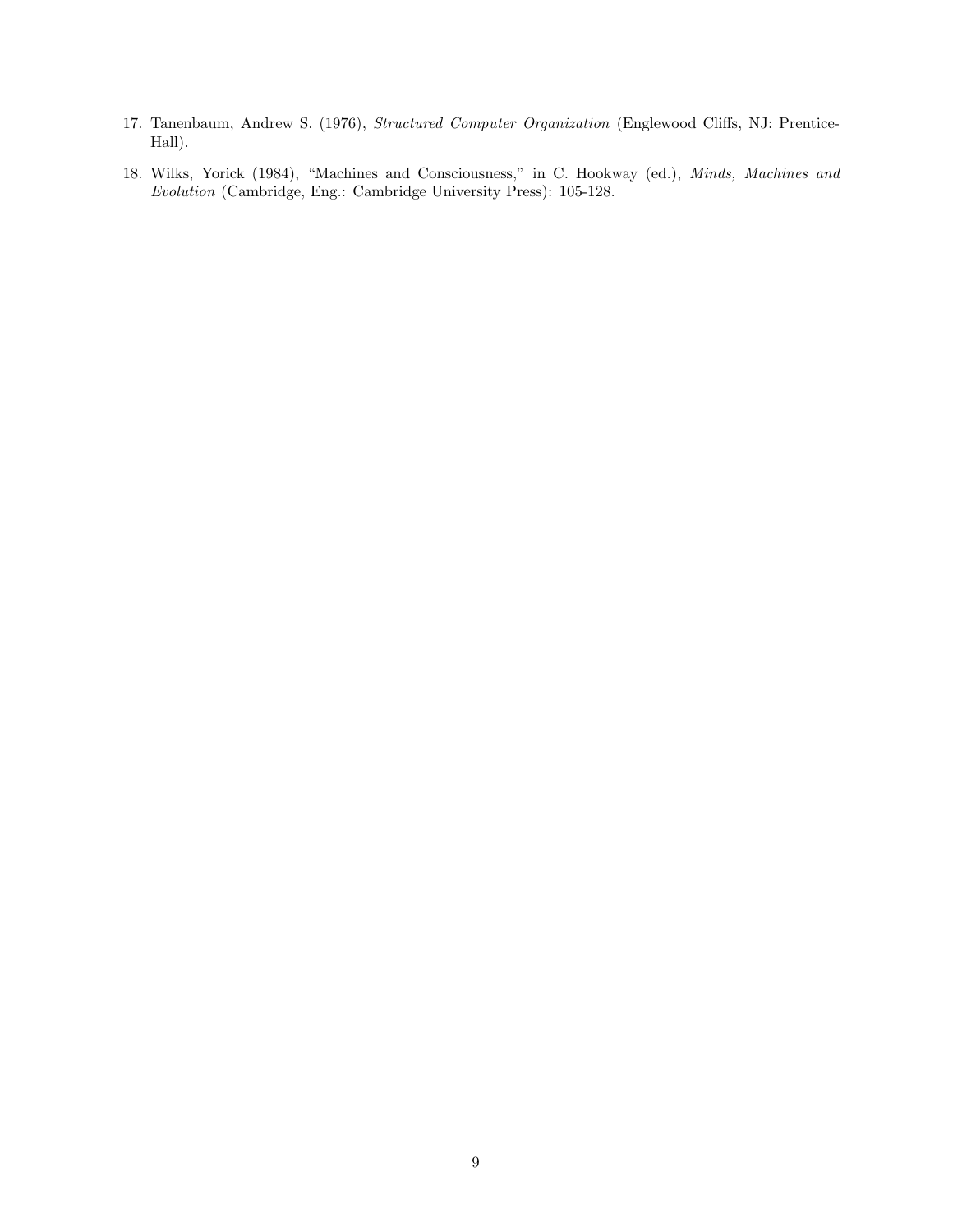- 17. Tanenbaum, Andrew S. (1976), *Structured Computer Organization* (Englewood Cliffs, NJ: Prentice-Hall).
- 18. Wilks, Yorick (1984), "Machines and Consciousness," in C. Hookway (ed.), *Minds, Machines and Evolution* (Cambridge, Eng.: Cambridge University Press): 105-128.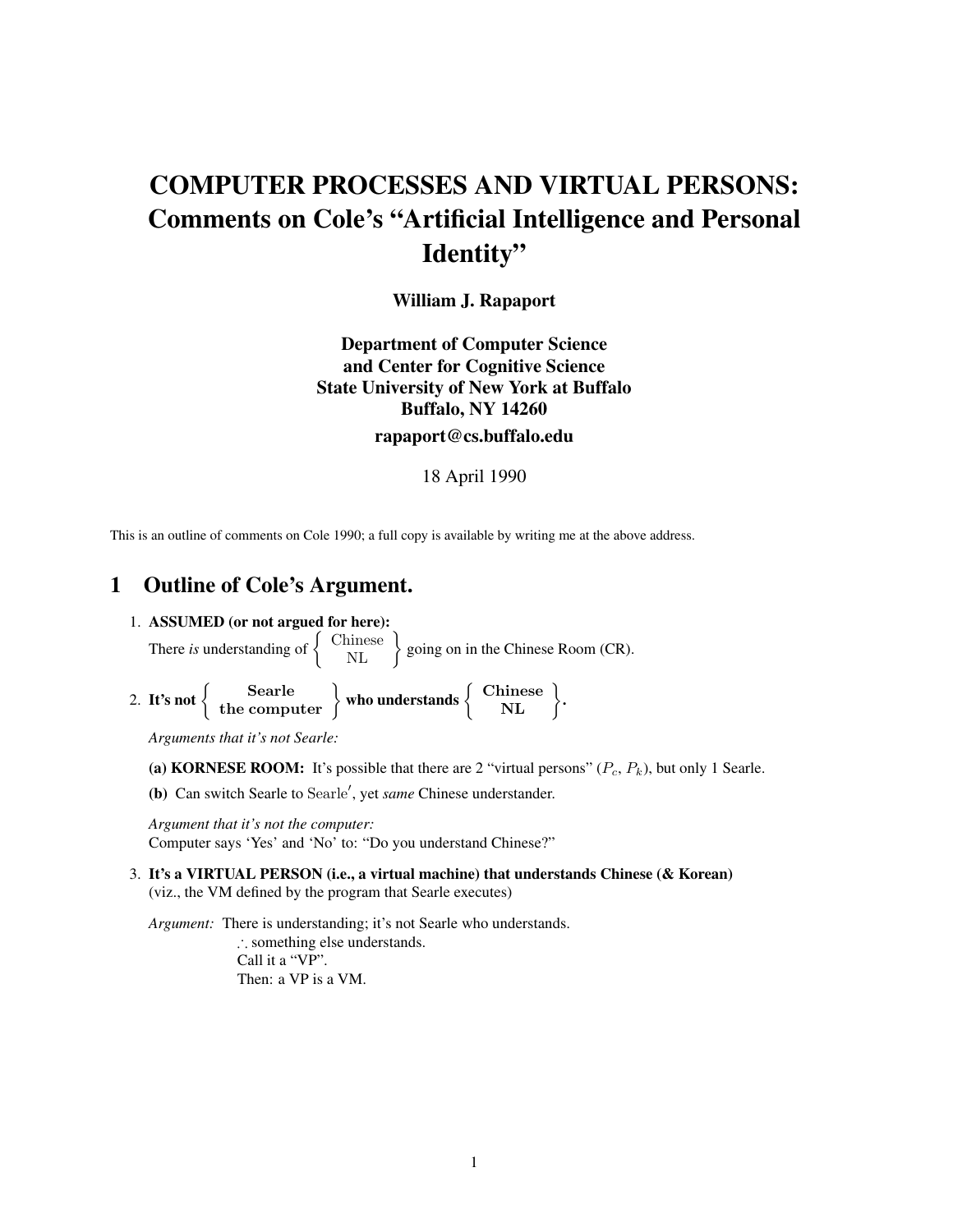# COMPUTER PROCESSES AND VIRTUAL PERSONS: Comments on Cole's "Artificial Intelligence and Personal Identity"

William J. Rapaport

# Department of Computer Science and Center for Cognitive Science State University of New York at Buffalo Buffalo, NY 14260 rapaport@cs.buffalo.edu

#### 18 April 1990

This is an outline of comments on Cole 1990; a full copy is available by writing me at the above address.

# 1 Outline of Cole's Argument.

1. ASSUMED (or not argued for here):

There *is* understanding of  $\begin{cases}$  Chinese  $\end{cases}$  going on in the Chinese Room (CR).

2. It's not  $\begin{Bmatrix} \text{Searche} \\ \text{the computer} \end{Bmatrix}$  who understands  $\begin{Bmatrix} \text{Chinese} \\ \text{NL} \end{Bmatrix}$ .

*Arguments that it's not Searle:*

- (a) KORNESE ROOM: It's possible that there are 2 "virtual persons"  $(P_c, P_k)$ , but only 1 Searle.
- (b) Can switch Searle to Searle', yet *same* Chinese understander.

*Argument that it's not the computer:* Computer says 'Yes' and 'No' to: "Do you understand Chinese?"

3. It's a VIRTUAL PERSON (i.e., a virtual machine) that understands Chinese (& Korean) (viz., the VM defined by the program that Searle executes)

*Argument:* There is understanding; it's not Searle who understands. : something else understands. Call it a "VP". Then: a VP is a VM.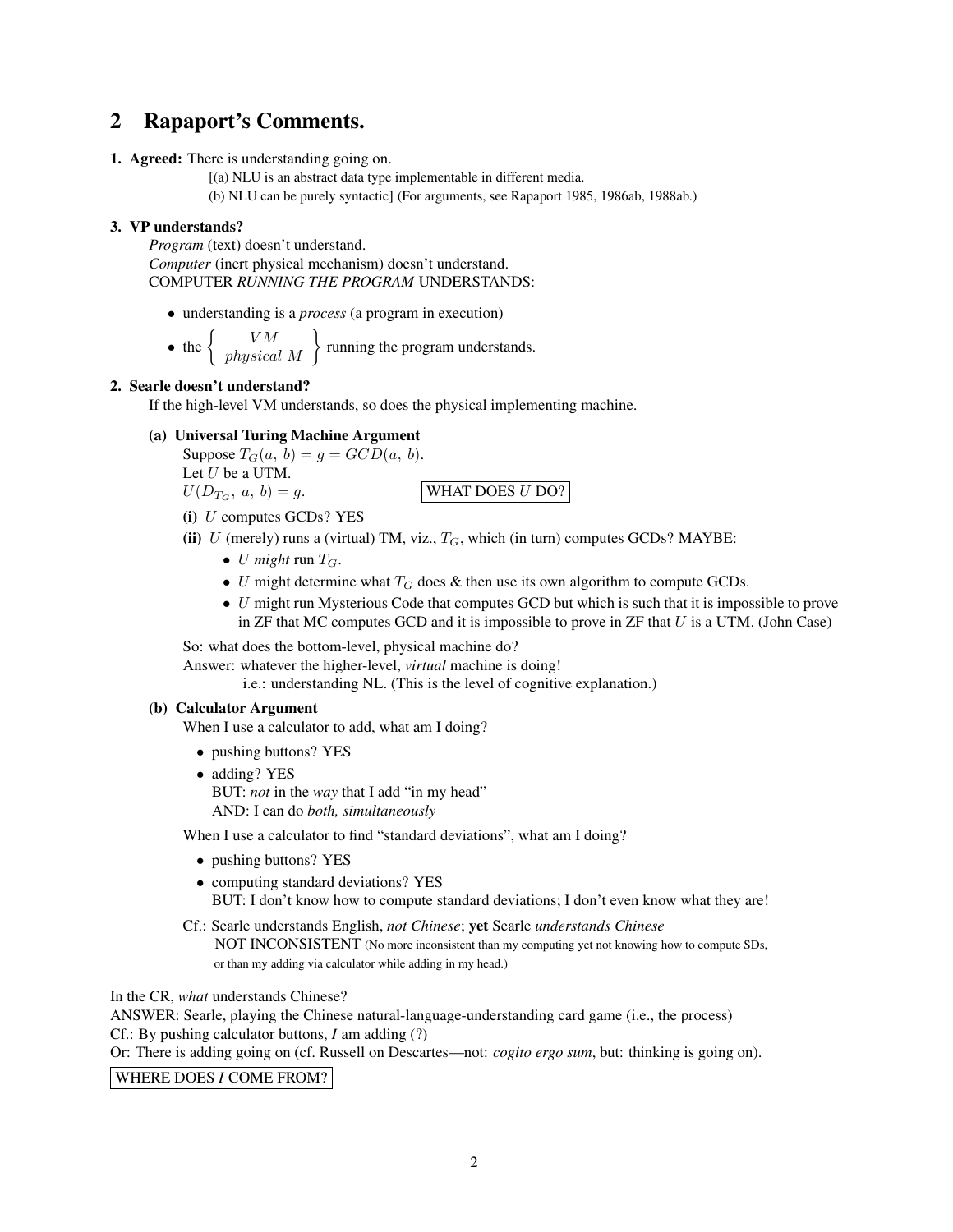# 2 Rapaport's Comments.

1. Agreed: There is understanding going on.

[(a) NLU is an abstract data type implementable in different media.

(b) NLU can be purely syntactic] (For arguments, see Rapaport 1985, 1986ab, 1988ab.)

## 3. VP understands?

*Program* (text) doesn't understand. *Computer* (inert physical mechanism) doesn't understand. COMPUTER *RUNNING THE PROGRAM* UNDERSTANDS:

*•* understanding is a *process* (a program in execution)

• the  $\left\{\begin{array}{c} VM \\ physical M\end{array}\right\}$  running the program understands.

## 2. Searle doesn't understand?

If the high-level VM understands, so does the physical implementing machine.

(a) Universal Turing Machine Argument

Suppose  $T_G(a, b) = g = GCD(a, b)$ . Let *U* be a UTM.

 $U(D_{T_G}, a, b) = g.$  WHAT DOES *U* DO?

- (i) *U* computes GCDs? YES
- (ii)  $U$  (merely) runs a (virtual) TM, viz.,  $T_G$ , which (in turn) computes GCDs? MAYBE:
	- *U might* run  $T_G$ .
	- *U* might determine what  $T_G$  does  $\&$  then use its own algorithm to compute GCDs.
	- *U* might run Mysterious Code that computes GCD but which is such that it is impossible to prove in ZF that MC computes GCD and it is impossible to prove in ZF that *U* is a UTM. (John Case)

So: what does the bottom-level, physical machine do?

Answer: whatever the higher-level, *virtual* machine is doing!

i.e.: understanding NL. (This is the level of cognitive explanation.)

### (b) Calculator Argument

When I use a calculator to add, what am I doing?

- *•* pushing buttons? YES
- *•* adding? YES BUT: *not* in the *way* that I add "in my head" AND: I can do *both, simultaneously*

When I use a calculator to find "standard deviations", what am I doing?

- *•* pushing buttons? YES
- computing standard deviations? YES BUT: I don't know how to compute standard deviations; I don't even know what they are!
- Cf.: Searle understands English, *not Chinese*; yet Searle *understands Chinese* NOT INCONSISTENT (No more inconsistent than my computing yet not knowing how to compute SDs, or than my adding via calculator while adding in my head.)

In the CR, *what* understands Chinese?

ANSWER: Searle, playing the Chinese natural-language-understanding card game (i.e., the process) Cf.: By pushing calculator buttons, *I* am adding (?)

Or: There is adding going on (cf. Russell on Descartes—not: *cogito ergo sum*, but: thinking is going on).

## WHERE DOES *I* COME FROM?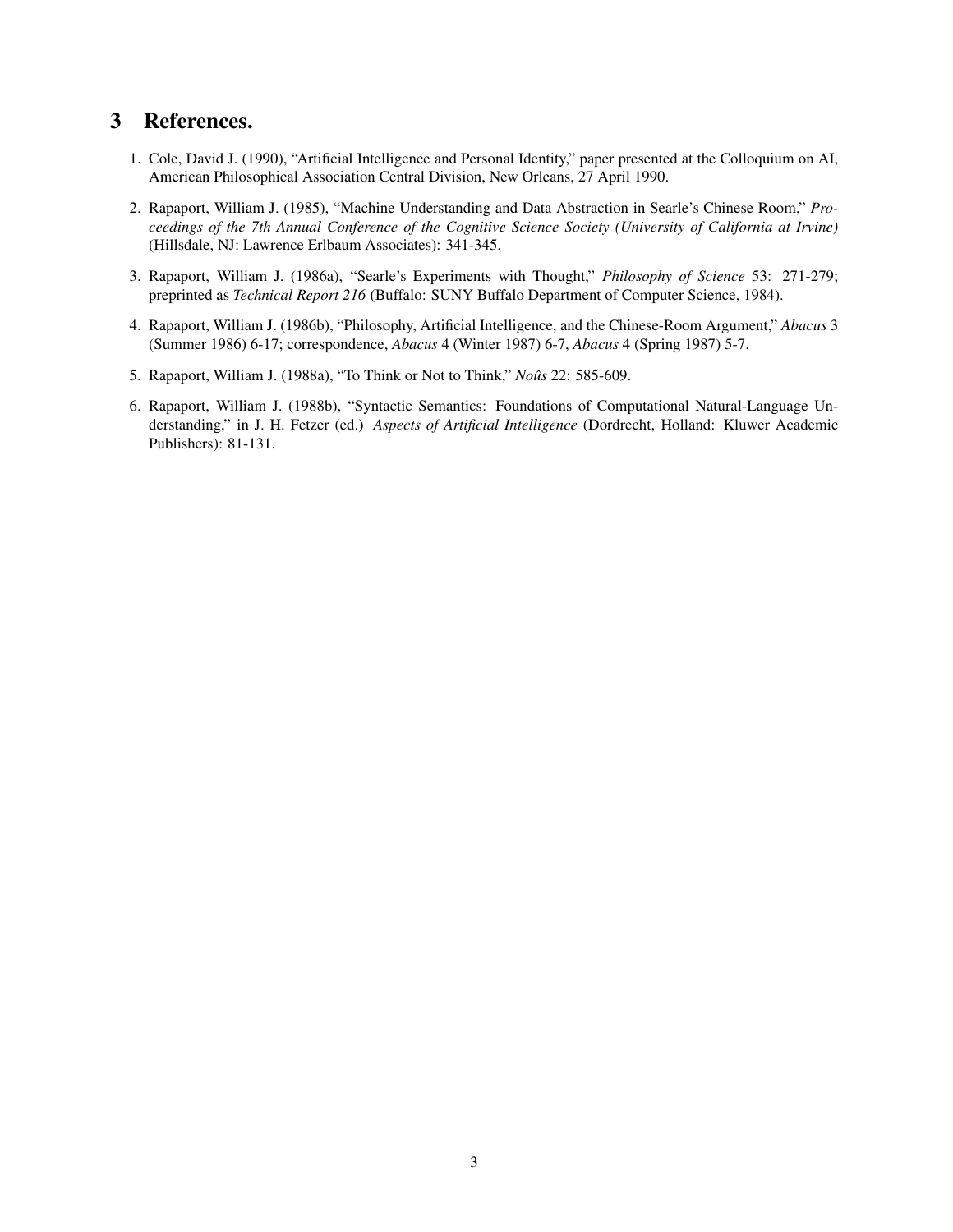# 3 References.

- 1. Cole, David J. (1990), "Artificial Intelligence and Personal Identity," paper presented at the Colloquium on AI, American Philosophical Association Central Division, New Orleans, 27 April 1990.
- 2. Rapaport, William J. (1985), "Machine Understanding and Data Abstraction in Searle's Chinese Room," *Proceedings of the 7th Annual Conference of the Cognitive Science Society (University of California at Irvine)* (Hillsdale, NJ: Lawrence Erlbaum Associates): 341-345.
- 3. Rapaport, William J. (1986a), "Searle's Experiments with Thought," *Philosophy of Science* 53: 271-279; preprinted as *Technical Report 216* (Buffalo: SUNY Buffalo Department of Computer Science, 1984).
- 4. Rapaport, William J. (1986b), "Philosophy, Artificial Intelligence, and the Chinese-Room Argument," *Abacus* 3 (Summer 1986) 6-17; correspondence, *Abacus* 4 (Winter 1987) 6-7, *Abacus* 4 (Spring 1987) 5-7.
- 5. Rapaport, William J. (1988a), "To Think or Not to Think," *Nousˆ* 22: 585-609.
- 6. Rapaport, William J. (1988b), "Syntactic Semantics: Foundations of Computational Natural-Language Understanding," in J. H. Fetzer (ed.) *Aspects of Artificial Intelligence* (Dordrecht, Holland: Kluwer Academic Publishers): 81-131.